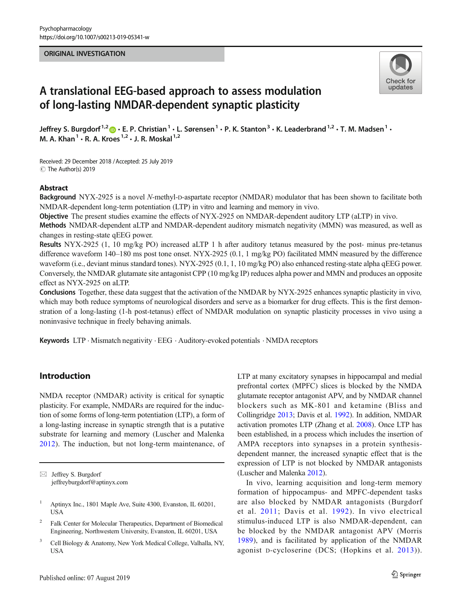### ORIGINAL INVESTIGATION



# A translational EEG-based approach to assess modulation of long-lasting NMDAR-dependent synaptic plasticity

Jeffrey S. Burgdorf<sup>1,2</sup>  $\cdot$  E. P. Christian<sup>1</sup>  $\cdot$  L. Sørensen<sup>1</sup>  $\cdot$  P. K. Stanton<sup>3</sup>  $\cdot$  K. Leaderbrand<sup>1,2</sup>  $\cdot$  T. M. Madsen<sup>1</sup>  $\cdot$ M. A. Khan<sup>1</sup>  $\cdot$  R. A. Kroes<sup>1,2</sup>  $\cdot$  J. R. Moskal<sup>1,2</sup>

Received: 29 December 2018 /Accepted: 25 July 2019 C The Author(s) 2019

### Abstract

Background NYX-2925 is a novel N-methyl-D-aspartate receptor (NMDAR) modulator that has been shown to facilitate both NMDAR-dependent long-term potentiation (LTP) in vitro and learning and memory in vivo.

Objective The present studies examine the effects of NYX-2925 on NMDAR-dependent auditory LTP (aLTP) in vivo.

Methods NMDAR-dependent aLTP and NMDAR-dependent auditory mismatch negativity (MMN) was measured, as well as changes in resting-state qEEG power.

Results NYX-2925 (1, 10 mg/kg PO) increased aLTP 1 h after auditory tetanus measured by the post- minus pre-tetanus difference waveform 140–180 ms post tone onset. NYX-2925 (0.1, 1 mg/kg PO) facilitated MMN measured by the difference waveform (i.e., deviant minus standard tones). NYX-2925 (0.1, 1, 10 mg/kg PO) also enhanced resting-state alpha qEEG power. Conversely, the NMDAR glutamate site antagonist CPP (10 mg/kg IP) reduces alpha power and MMN and produces an opposite effect as NYX-2925 on aLTP.

Conclusions Together, these data suggest that the activation of the NMDAR by NYX-2925 enhances synaptic plasticity in vivo, which may both reduce symptoms of neurological disorders and serve as a biomarker for drug effects. This is the first demonstration of a long-lasting (1-h post-tetanus) effect of NMDAR modulation on synaptic plasticity processes in vivo using a noninvasive technique in freely behaving animals.

Keywords LTP . Mismatch negativity . EEG . Auditory-evoked potentials . NMDA receptors

# Introduction

NMDA receptor (NMDAR) activity is critical for synaptic plasticity. For example, NMDARs are required for the induction of some forms of long-term potentiation (LTP), a form of a long-lasting increase in synaptic strength that is a putative substrate for learning and memory (Luscher and Malenka [2012](#page-5-0)). The induction, but not long-term maintenance, of LTP at many excitatory synapses in hippocampal and medial prefrontal cortex (MPFC) slices is blocked by the NMDA glutamate receptor antagonist APV, and by NMDAR channel blockers such as MK-801 and ketamine (Bliss and Collingridge [2013;](#page-5-0) Davis et al. [1992\)](#page-5-0). In addition, NMDAR activation promotes LTP (Zhang et al. [2008](#page-6-0)). Once LTP has been established, in a process which includes the insertion of AMPA receptors into synapses in a protein synthesisdependent manner, the increased synaptic effect that is the expression of LTP is not blocked by NMDAR antagonists (Luscher and Malenka [2012](#page-5-0)).

In vivo, learning acquisition and long-term memory formation of hippocampus- and MPFC-dependent tasks are also blocked by NMDAR antagonists (Burgdorf et al. [2011](#page-5-0); Davis et al. [1992\)](#page-5-0). In vivo electrical stimulus-induced LTP is also NMDAR-dependent, can be blocked by the NMDAR antagonist APV (Morris [1989\)](#page-5-0), and is facilitated by application of the NMDAR agonist D-cycloserine (DCS; (Hopkins et al. [2013](#page-5-0))).

 $\boxtimes$  Jeffrey S. Burgdorf [jeffreyburgdorf@aptinyx.com](mailto:jeffreyburgdorf@aptinyx.com)

<sup>&</sup>lt;sup>1</sup> Aptinyx Inc., 1801 Maple Ave, Suite 4300, Evanston, IL 60201, USA

<sup>2</sup> Falk Center for Molecular Therapeutics, Department of Biomedical Engineering, Northwestern University, Evanston, IL 60201, USA

<sup>&</sup>lt;sup>3</sup> Cell Biology & Anatomy, New York Medical College, Valhalla, NY, USA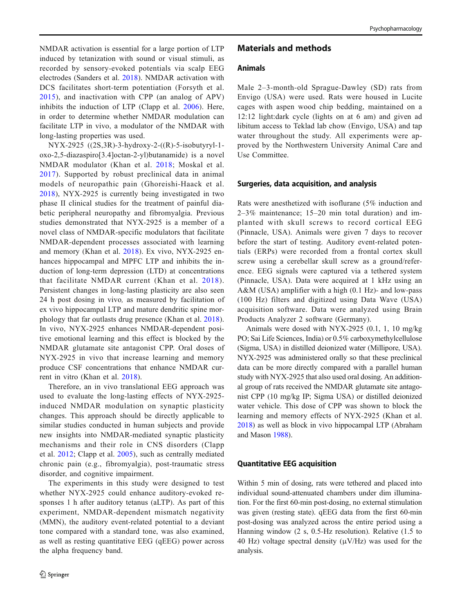NMDAR activation is essential for a large portion of LTP induced by tetanization with sound or visual stimuli, as recorded by sensory-evoked potentials via scalp EEG electrodes (Sanders et al. [2018](#page-5-0)). NMDAR activation with DCS facilitates short-term potentiation (Forsyth et al. [2015\)](#page-5-0), and inactivation with CPP (an analog of APV) inhibits the induction of LTP (Clapp et al. [2006\)](#page-5-0). Here, in order to determine whether NMDAR modulation can facilitate LTP in vivo, a modulator of the NMDAR with long-lasting properties was used.

NYX-2925 ((2S,3R)-3-hydroxy-2-((R)-5-isobutyryl-1 oxo-2,5-diazaspiro[3.4]octan-2-yl)butanamide) is a novel NMDAR modulator (Khan et al. [2018](#page-5-0); Moskal et al. [2017](#page-5-0)). Supported by robust preclinical data in animal models of neuropathic pain (Ghoreishi-Haack et al. [2018](#page-5-0)), NYX-2925 is currently being investigated in two phase II clinical studies for the treatment of painful diabetic peripheral neuropathy and fibromyalgia. Previous studies demonstrated that NYX-2925 is a member of a novel class of NMDAR-specific modulators that facilitate NMDAR-dependent processes associated with learning and memory (Khan et al. [2018](#page-5-0)). Ex vivo, NYX-2925 enhances hippocampal and MPFC LTP and inhibits the induction of long-term depression (LTD) at concentrations that facilitate NMDAR current (Khan et al. [2018\)](#page-5-0). Persistent changes in long-lasting plasticity are also seen 24 h post dosing in vivo, as measured by facilitation of ex vivo hippocampal LTP and mature dendritic spine morphology that far outlasts drug presence (Khan et al. [2018](#page-5-0)). In vivo, NYX-2925 enhances NMDAR-dependent positive emotional learning and this effect is blocked by the NMDAR glutamate site antagonist CPP. Oral doses of NYX-2925 in vivo that increase learning and memory produce CSF concentrations that enhance NMDAR current in vitro (Khan et al. [2018](#page-5-0)).

Therefore, an in vivo translational EEG approach was used to evaluate the long-lasting effects of NYX-2925 induced NMDAR modulation on synaptic plasticity changes. This approach should be directly applicable to similar studies conducted in human subjects and provide new insights into NMDAR-mediated synaptic plasticity mechanisms and their role in CNS disorders (Clapp et al. [2012;](#page-5-0) Clapp et al. [2005\)](#page-5-0), such as centrally mediated chronic pain (e.g., fibromyalgia), post-traumatic stress disorder, and cognitive impairment.

The experiments in this study were designed to test whether NYX-2925 could enhance auditory-evoked responses 1 h after auditory tetanus (aLTP). As part of this experiment, NMDAR-dependent mismatch negativity (MMN), the auditory event-related potential to a deviant tone compared with a standard tone, was also examined, as well as resting quantitative EEG (qEEG) power across the alpha frequency band.

## Materials and methods

## Animals

Male 2–3-month-old Sprague-Dawley (SD) rats from Envigo (USA) were used. Rats were housed in Lucite cages with aspen wood chip bedding, maintained on a 12:12 light:dark cycle (lights on at 6 am) and given ad libitum access to Teklad lab chow (Envigo, USA) and tap water throughout the study. All experiments were approved by the Northwestern University Animal Care and Use Committee.

#### Surgeries, data acquisition, and analysis

Rats were anesthetized with isoflurane (5% induction and 2–3% maintenance; 15–20 min total duration) and implanted with skull screws to record cortical EEG (Pinnacle, USA). Animals were given 7 days to recover before the start of testing. Auditory event-related potentials (ERPs) were recorded from a frontal cortex skull screw using a cerebellar skull screw as a ground/reference. EEG signals were captured via a tethered system (Pinnacle, USA). Data were acquired at 1 kHz using an A&M (USA) amplifier with a high (0.1 Hz)- and low-pass (100 Hz) filters and digitized using Data Wave (USA) acquisition software. Data were analyzed using Brain Products Analyzer 2 software (Germany).

Animals were dosed with NYX-2925 (0.1, 1, 10 mg/kg PO; Sai Life Sciences, India) or 0.5% carboxymethylcellulose (Sigma, USA) in distilled deionized water (Millipore, USA). NYX-2925 was administered orally so that these preclinical data can be more directly compared with a parallel human study with NYX-2925 that also used oral dosing. An additional group of rats received the NMDAR glutamate site antagonist CPP (10 mg/kg IP; Sigma USA) or distilled deionized water vehicle. This dose of CPP was shown to block the learning and memory effects of NYX-2925 (Khan et al. [2018\)](#page-5-0) as well as block in vivo hippocampal LTP (Abraham and Mason [1988\)](#page-5-0).

### Quantitative EEG acquisition

Within 5 min of dosing, rats were tethered and placed into individual sound-attenuated chambers under dim illumination. For the first 60-min post-dosing, no external stimulation was given (resting state). qEEG data from the first 60-min post-dosing was analyzed across the entire period using a Hanning window (2 s, 0.5-Hz resolution). Relative (1.5 to 40 Hz) voltage spectral density  $(\mu V/Hz)$  was used for the analysis.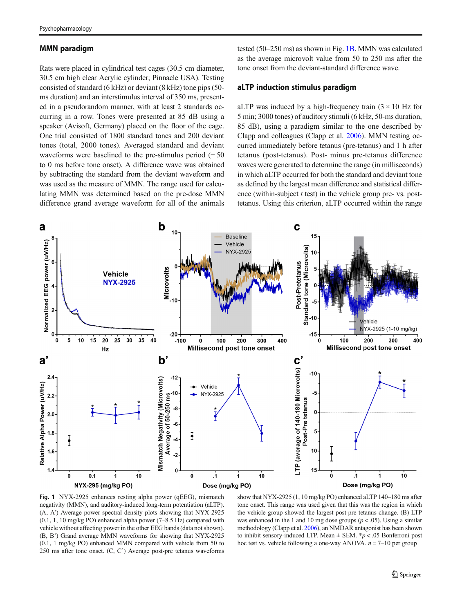### <span id="page-2-0"></span>MMN paradigm

Rats were placed in cylindrical test cages (30.5 cm diameter, 30.5 cm high clear Acrylic cylinder; Pinnacle USA). Testing consisted of standard (6 kHz) or deviant (8 kHz) tone pips (50 ms duration) and an interstimulus interval of 350 ms, presented in a pseudorandom manner, with at least 2 standards occurring in a row. Tones were presented at 85 dB using a speaker (Avisoft, Germany) placed on the floor of the cage. One trial consisted of 1800 standard tones and 200 deviant tones (total, 2000 tones). Averaged standard and deviant waveforms were baselined to the pre-stimulus period  $(-50$ to 0 ms before tone onset). A difference wave was obtained by subtracting the standard from the deviant waveform and was used as the measure of MMN. The range used for calculating MMN was determined based on the pre-dose MMN difference grand average waveform for all of the animals

tested (50–250 ms) as shown in Fig. 1B. MMN was calculated as the average microvolt value from 50 to 250 ms after the tone onset from the deviant-standard difference wave.

### aLTP induction stimulus paradigm

aLTP was induced by a high-frequency train  $(3 \times 10)$  Hz for 5 min; 3000 tones) of auditory stimuli (6 kHz, 50-ms duration, 85 dB), using a paradigm similar to the one described by Clapp and colleagues (Clapp et al. [2006](#page-5-0)). MMN testing occurred immediately before tetanus (pre-tetanus) and 1 h after tetanus (post-tetanus). Post- minus pre-tetanus difference waves were generated to determine the range (in milliseconds) in which aLTP occurred for both the standard and deviant tone as defined by the largest mean difference and statistical difference (within-subject  $t$  test) in the vehicle group pre- vs. posttetanus. Using this criterion, aLTP occurred within the range



Fig. 1 NYX-2925 enhances resting alpha power (qEEG), mismatch negativity (MMN), and auditory-induced long-term potentiation (aLTP). (A, A') Average power spectral density plots showing that NYX-2925 (0.1, 1, 10 mg/kg PO) enhanced alpha power (7–8.5 Hz) compared with vehicle without affecting power in the other EEG bands (data not shown). (B, B') Grand average MMN waveforms for showing that NYX-2925 (0.1, 1 mg/kg PO) enhanced MMN compared with vehicle from 50 to 250 ms after tone onset. (C, C') Average post-pre tetanus waveforms

show that NYX-2925 (1, 10 mg/kg PO) enhanced aLTP 140–180 ms after tone onset. This range was used given that this was the region in which the vehicle group showed the largest post-pre tetanus change. (B) LTP was enhanced in the 1 and 10 mg dose groups ( $p < .05$ ). Using a similar methodology (Clapp et al. [2006\)](#page-5-0), an NMDAR antagonist has been shown to inhibit sensory-induced LTP. Mean  $\pm$  SEM.  $*p$  < .05 Bonferroni post hoc test vs. vehicle following a one-way ANOVA.  $n = 7-10$  per group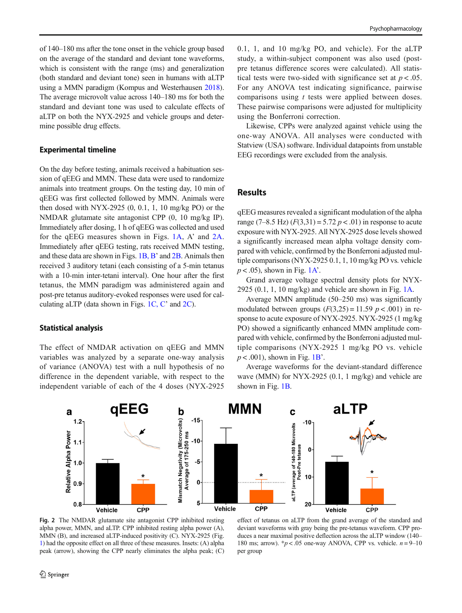<span id="page-3-0"></span>of 140–180 ms after the tone onset in the vehicle group based on the average of the standard and deviant tone waveforms, which is consistent with the range (ms) and generalization (both standard and deviant tone) seen in humans with aLTP using a MMN paradigm (Kompus and Westerhausen [2018\)](#page-5-0). The average microvolt value across 140–180 ms for both the standard and deviant tone was used to calculate effects of aLTP on both the NYX-2925 and vehicle groups and determine possible drug effects.

#### Experimental timeline

On the day before testing, animals received a habituation session of qEEG and MMN. These data were used to randomize animals into treatment groups. On the testing day, 10 min of qEEG was first collected followed by MMN. Animals were then dosed with NYX-2925 (0, 0.1, 1, 10 mg/kg PO) or the NMDAR glutamate site antagonist CPP (0, 10 mg/kg IP). Immediately after dosing, 1 h of qEEG was collected and used for the qEEG measures shown in Figs. [1A,](#page-2-0) A' and 2A. Immediately after qEEG testing, rats received MMN testing, and these data are shown in Figs. [1B, B](#page-2-0)' and 2B. Animals then received 3 auditory tetani (each consisting of a 5-min tetanus with a 10-min inter-tetani interval). One hour after the first tetanus, the MMN paradigm was administered again and post-pre tetanus auditory-evoked responses were used for calculating aLTP (data shown in Figs. [1C, C](#page-2-0)' and 2C).

#### Statistical analysis

The effect of NMDAR activation on qEEG and MMN variables was analyzed by a separate one-way analysis of variance (ANOVA) test with a null hypothesis of no difference in the dependent variable, with respect to the independent variable of each of the 4 doses (NYX-2925 0.1, 1, and 10 mg/kg PO, and vehicle). For the aLTP study, a within-subject component was also used (postpre tetanus difference scores were calculated). All statistical tests were two-sided with significance set at  $p < .05$ . For any ANOVA test indicating significance, pairwise comparisons using t tests were applied between doses. These pairwise comparisons were adjusted for multiplicity using the Bonferroni correction.

Likewise, CPPs were analyzed against vehicle using the one-way ANOVA. All analyses were conducted with Statview (USA) software. Individual datapoints from unstable EEG recordings were excluded from the analysis.

## **Results**

qEEG measures revealed a significant modulation of the alpha range (7–8.5 Hz)  $(F(3,31) = 5.72 \, p < .01)$  in response to acute exposure with NYX-2925. All NYX-2925 dose levels showed a significantly increased mean alpha voltage density compared with vehicle, confirmed by the Bonferroni adjusted multiple comparisons (NYX-2925 0.1, 1, 10 mg/kg PO vs. vehicle  $p < .05$ ), shown in Fig. [1A](#page-2-0)'.

Grand average voltage spectral density plots for NYX-2925 (0.1, 1, 10 mg/kg) and vehicle are shown in Fig.  $1A$ .

Average MMN amplitude (50–250 ms) was significantly modulated between groups  $(F(3,25) = 11.59 \, p < .001)$  in response to acute exposure of NYX-2925. NYX-2925 (1 mg/kg PO) showed a significantly enhanced MMN amplitude compared with vehicle, confirmed by the Bonferroni adjusted multiple comparisons (NYX-2925 1 mg/kg PO vs. vehicle  $p < .001$ ), shown in Fig. [1B](#page-2-0)'.

Average waveforms for the deviant-standard difference wave (MMN) for NYX-2925 (0.1, 1 mg/kg) and vehicle are shown in Fig. [1B.](#page-2-0)



Fig. 2 The NMDAR glutamate site antagonist CPP inhibited resting alpha power, MMN, and aLTP. CPP inhibited resting alpha power (A), MMN (B), and increased aLTP-induced positivity (C). NYX-2925 (Fig. [1](#page-2-0)) had the opposite effect on all three of these measures. Insets: (A) alpha peak (arrow), showing the CPP nearly eliminates the alpha peak; (C)

effect of tetanus on aLTP from the grand average of the standard and deviant waveforms with gray being the pre-tetanus waveform. CPP produces a near maximal positive deflection across the aLTP window (140– 180 ms; arrow).  $\frac{k}{p}$  < .05 one-way ANOVA, CPP vs. vehicle.  $n = 9-10$ per group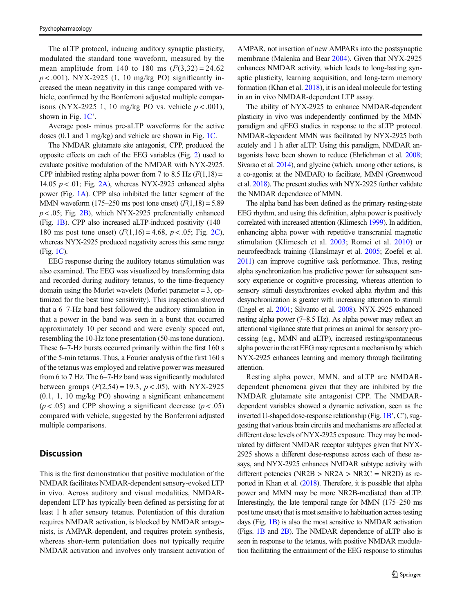The aLTP protocol, inducing auditory synaptic plasticity, modulated the standard tone waveform, measured by the mean amplitude from 140 to 180 ms  $(F(3,32) = 24.62)$  $p < .001$ ). NYX-2925 (1, 10 mg/kg PO) significantly increased the mean negativity in this range compared with vehicle, confirmed by the Bonferroni adjusted multiple comparisons (NYX-2925 1, 10 mg/kg PO vs. vehicle  $p < .001$ ), shown in Fig. [1C](#page-2-0)'.

Average post- minus pre-aLTP waveforms for the active doses (0.1 and 1 mg/kg) and vehicle are shown in Fig. [1C.](#page-2-0)

The NMDAR glutamate site antagonist, CPP, produced the opposite effects on each of the EEG variables (Fig. [2\)](#page-3-0) used to evaluate positive modulation of the NMDAR with NYX-2925. CPP inhibited resting alpha power from 7 to 8.5 Hz  $(F(1,18) =$ 14.05  $p < .01$ ; Fig. [2A\)](#page-3-0), whereas NYX-2925 enhanced alpha power (Fig. [1A\)](#page-2-0). CPP also inhibited the latter segment of the MMN waveform  $(175-250 \text{ ms post tone onset}) (F(1,18) = 5.89$  $p < .05$ ; Fig. [2B](#page-3-0)), which NYX-2925 preferentially enhanced (Fig. [1B\)](#page-2-0). CPP also increased aLTP-induced positivity (140– 180 ms post tone onset)  $(F(1,16) = 4.68, p < .05;$  Fig. [2C](#page-3-0)), whereas NYX-2925 produced negativity across this same range (Fig. [1C](#page-2-0)).

EEG response during the auditory tetanus stimulation was also examined. The EEG was visualized by transforming data and recorded during auditory tetanus, to the time-frequency domain using the Morlet wavelets (Morlet parameter = 3, optimized for the best time sensitivity). This inspection showed that a 6–7-Hz band best followed the auditory stimulation in that a power in the band was seen in a burst that occurred approximately 10 per second and were evenly spaced out, resembling the 10-Hz tone presentation (50-ms tone duration). These 6–7-Hz bursts occurred primarily within the first 160 s of the 5-min tetanus. Thus, a Fourier analysis of the first 160 s of the tetanus was employed and relative power was measured from 6 to 7 Hz. The 6–7-Hz band was significantly modulated between groups  $(F(2,54) = 19.3, p < .05)$ , with NYX-2925 (0.1, 1, 10 mg/kg PO) showing a significant enhancement  $(p < .05)$  and CPP showing a significant decrease  $(p < .05)$ compared with vehicle, suggested by the Bonferroni adjusted multiple comparisons.

## **Discussion**

This is the first demonstration that positive modulation of the NMDAR facilitates NMDAR-dependent sensory-evoked LTP in vivo. Across auditory and visual modalities, NMDARdependent LTP has typically been defined as persisting for at least 1 h after sensory tetanus. Potentiation of this duration requires NMDAR activation, is blocked by NMDAR antagonists, is AMPAR-dependent, and requires protein synthesis, whereas short-term potentiation does not typically require NMDAR activation and involves only transient activation of

AMPAR, not insertion of new AMPARs into the postsynaptic membrane (Malenka and Bear [2004\)](#page-5-0). Given that NYX-2925 enhances NMDAR activity, which leads to long-lasting synaptic plasticity, learning acquisition, and long-term memory formation (Khan et al. [2018](#page-5-0)), it is an ideal molecule for testing in an in vivo NMDAR-dependent LTP assay.

The ability of NYX-2925 to enhance NMDAR-dependent plasticity in vivo was independently confirmed by the MMN paradigm and qEEG studies in response to the aLTP protocol. NMDAR-dependent MMN was facilitated by NYX-2925 both acutely and 1 h after aLTP. Using this paradigm, NMDAR antagonists have been shown to reduce (Ehrlichman et al. [2008;](#page-5-0) Sivarao et al. [2014](#page-6-0)), and glycine (which, among other actions, is a co-agonist at the NMDAR) to facilitate, MMN (Greenwood et al. [2018\)](#page-5-0). The present studies with NYX-2925 further validate the NMDAR dependence of MMN.

The alpha band has been defined as the primary resting-state EEG rhythm, and using this definition, alpha power is positively correlated with increased attention (Klimesch [1999](#page-5-0)). In addition, enhancing alpha power with repetitive transcranial magnetic stimulation (Klimesch et al. [2003;](#page-5-0) Romei et al. [2010\)](#page-5-0) or neurofeedback training (Hanslmayr et al. [2005;](#page-5-0) Zoefel et al. [2011\)](#page-6-0) can improve cognitive task performance. Thus, resting alpha synchronization has predictive power for subsequent sensory experience or cognitive processing, whereas attention to sensory stimuli desynchronizes evoked alpha rhythm and this desynchronization is greater with increasing attention to stimuli (Engel et al. [2001;](#page-5-0) Silvanto et al. [2008\)](#page-6-0). NYX-2925 enhanced resting alpha power (7–8.5 Hz). As alpha power may reflect an attentional vigilance state that primes an animal for sensory processing (e.g., MMN and aLTP), increased resting/spontaneous alpha power in the rat EEG may represent a mechanism by which NYX-2925 enhances learning and memory through facilitating attention.

Resting alpha power, MMN, and aLTP are NMDARdependent phenomena given that they are inhibited by the NMDAR glutamate site antagonist CPP. The NMDARdependent variables showed a dynamic activation, seen as the inverted U-shaped dose-response relationship (Fig. [1B](#page-2-0)', C'), suggesting that various brain circuits and mechanisms are affected at different dose levels of NYX-2925 exposure. They may be modulated by different NMDAR receptor subtypes given that NYX-2925 shows a different dose-response across each of these assays, and NYX-2925 enhances NMDAR subtype activity with different potencies (NR2B  $>$  NR2A  $>$  NR2C = NR2D) as reported in Khan et al. [\(2018\)](#page-5-0). Therefore, it is possible that alpha power and MMN may be more NR2B-mediated than aLTP. Interestingly, the late temporal range for MMN (175–250 ms post tone onset) that is most sensitive to habituation across testing days (Fig. [1B](#page-2-0)) is also the most sensitive to NMDAR activation (Figs. [1B](#page-2-0) and [2B\)](#page-3-0). The NMDAR dependence of aLTP also is seen in response to the tetanus, with positive NMDAR modulation facilitating the entrainment of the EEG response to stimulus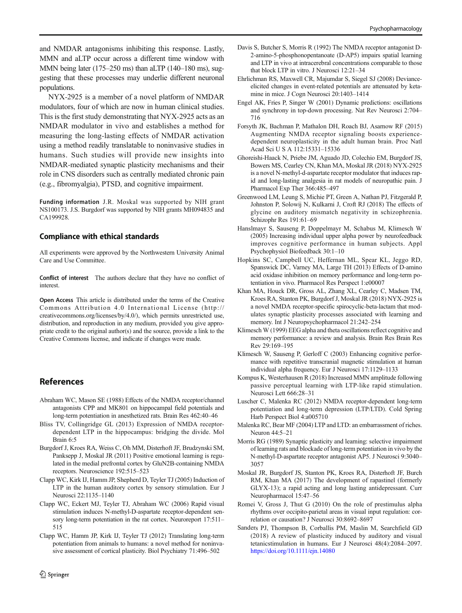<span id="page-5-0"></span>NYX-2925 is a member of a novel platform of NMDAR modulators, four of which are now in human clinical studies. This is the first study demonstrating that NYX-2925 acts as an NMDAR modulator in vivo and establishes a method for measuring the long-lasting effects of NMDAR activation using a method readily translatable to noninvasive studies in humans. Such studies will provide new insights into NMDAR-mediated synaptic plasticity mechanisms and their role in CNS disorders such as centrally mediated chronic pain (e.g., fibromyalgia), PTSD, and cognitive impairment.

Funding information J.R. Moskal was supported by NIH grant NS100173. J.S. Burgdorf was supported by NIH grants MH094835 and CA199928.

## Compliance with ethical standards

All experiments were approved by the Northwestern University Animal Care and Use Committee.

Conflict of interest The authors declare that they have no conflict of interest.

Open Access This article is distributed under the terms of the Creative Commons Attribution 4.0 International License (http:// creativecommons.org/licenses/by/4.0/), which permits unrestricted use, distribution, and reproduction in any medium, provided you give appropriate credit to the original author(s) and the source, provide a link to the Creative Commons license, and indicate if changes were made.

# References

- Abraham WC, Mason SE (1988) Effects of the NMDA receptor/channel antagonists CPP and MK801 on hippocampal field potentials and long-term potentiation in anesthetized rats. Brain Res 462:40–46
- Bliss TV, Collingridge GL (2013) Expression of NMDA receptordependent LTP in the hippocampus: bridging the divide. Mol Brain 6:5
- Burgdorf J, Kroes RA, Weiss C, Oh MM, Disterhoft JF, Brudzynski SM, Panksepp J, Moskal JR (2011) Positive emotional learning is regulated in the medial prefrontal cortex by GluN2B-containing NMDA receptors. Neuroscience 192:515–523
- Clapp WC, Kirk IJ, Hamm JP, Shepherd D, Teyler TJ (2005) Induction of LTP in the human auditory cortex by sensory stimulation. Eur J Neurosci 22:1135–1140
- Clapp WC, Eckert MJ, Teyler TJ, Abraham WC (2006) Rapid visual stimulation induces N-methyl-D-aspartate receptor-dependent sensory long-term potentiation in the rat cortex. Neuroreport 17:511– 515
- Clapp WC, Hamm JP, Kirk IJ, Teyler TJ (2012) Translating long-term potentiation from animals to humans: a novel method for noninvasive assessment of cortical plasticity. Biol Psychiatry 71:496–502
- Davis S, Butcher S, Morris R (1992) The NMDA receptor antagonist D-2-amino-5-phosphonopentanoate (D-AP5) impairs spatial learning and LTP in vivo at intracerebral concentrations comparable to those that block LTP in vitro. J Neurosci 12:21–34
- Ehrlichman RS, Maxwell CR, Majumdar S, Siegel SJ (2008) Devianceelicited changes in event-related potentials are attenuated by ketamine in mice. J Cogn Neurosci 20:1403–1414
- Engel AK, Fries P, Singer W (2001) Dynamic predictions: oscillations and synchrony in top-down processing. Nat Rev Neurosci 2:704– 716
- Forsyth JK, Bachman P, Mathalon DH, Roach BJ, Asarnow RF (2015) Augmenting NMDA receptor signaling boosts experiencedependent neuroplasticity in the adult human brain. Proc Natl Acad Sci U S A 112:15331–15336
- Ghoreishi-Haack N, Priebe JM, Aguado JD, Colechio EM, Burgdorf JS, Bowers MS, Cearley CN, Khan MA, Moskal JR (2018) NYX-2925 is a novel N-methyl-d-aspartate receptor modulator that induces rapid and long-lasting analgesia in rat models of neuropathic pain. J Pharmacol Exp Ther 366:485–497
- Greenwood LM, Leung S, Michie PT, Green A, Nathan PJ, Fitzgerald P, Johnston P, Solowij N, Kulkarni J, Croft RJ (2018) The effects of glycine on auditory mismatch negativity in schizophrenia. Schizophr Res 191:61–69
- Hanslmayr S, Sauseng P, Doppelmayr M, Schabus M, Klimesch W (2005) Increasing individual upper alpha power by neurofeedback improves cognitive performance in human subjects. Appl Psychophysiol Biofeedback 30:1–10
- Hopkins SC, Campbell UC, Heffernan ML, Spear KL, Jeggo RD, Spanswick DC, Varney MA, Large TH (2013) Effects of D-amino acid oxidase inhibition on memory performance and long-term potentiation in vivo. Pharmacol Res Perspect 1:e00007
- Khan MA, Houck DR, Gross AL, Zhang XL, Cearley C, Madsen TM, Kroes RA, Stanton PK, Burgdorf J, Moskal JR (2018) NYX-2925 is a novel NMDA receptor-specific spirocyclic-beta-lactam that modulates synaptic plasticity processes associated with learning and memory. Int J Neuropsychopharmacol 21:242–254
- Klimesch W (1999) EEG alpha and theta oscillations reflect cognitive and memory performance: a review and analysis. Brain Res Brain Res Rev 29:169–195
- Klimesch W, Sauseng P, Gerloff C (2003) Enhancing cognitive performance with repetitive transcranial magnetic stimulation at human individual alpha frequency. Eur J Neurosci 17:1129–1133
- Kompus K, Westerhausen R (2018) Increased MMN amplitude following passive perceptual learning with LTP-like rapid stimulation. Neurosci Lett 666:28–31
- Luscher C, Malenka RC (2012) NMDA receptor-dependent long-term potentiation and long-term depression (LTP/LTD). Cold Spring Harb Perspect Biol 4:a005710
- Malenka RC, Bear MF (2004) LTP and LTD: an embarrassment of riches. Neuron 44:5–21
- Morris RG (1989) Synaptic plasticity and learning: selective impairment of learning rats and blockade of long-term potentiation in vivo by the N-methyl-D-aspartate receptor antagonist AP5. J Neurosci 9:3040– 3057
- Moskal JR, Burgdorf JS, Stanton PK, Kroes RA, Disterhoft JF, Burch RM, Khan MA (2017) The development of rapastinel (formerly GLYX-13); a rapid acting and long lasting antidepressant. Curr Neuropharmacol 15:47–56
- Romei V, Gross J, Thut G (2010) On the role of prestimulus alpha rhythms over occipito-parietal areas in visual input regulation: correlation or causation? J Neurosci 30:8692–8697
- Sanders PJ, Thompson B, Corballis PM, Maslin M, Searchfield GD (2018) A review of plasticity induced by auditory and visual tetanicstimulation in humans. Eur J Neurosci 48(4):2084–2097. <https://doi.org/10.1111/ejn.14080>